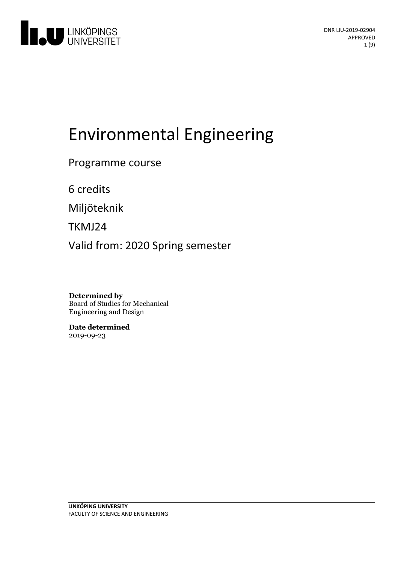

# Environmental Engineering

Programme course

6 credits

Miljöteknik

TKMJ24

Valid from: 2020 Spring semester

**Determined by** Board of Studies for Mechanical Engineering and Design

**Date determined** 2019-09-23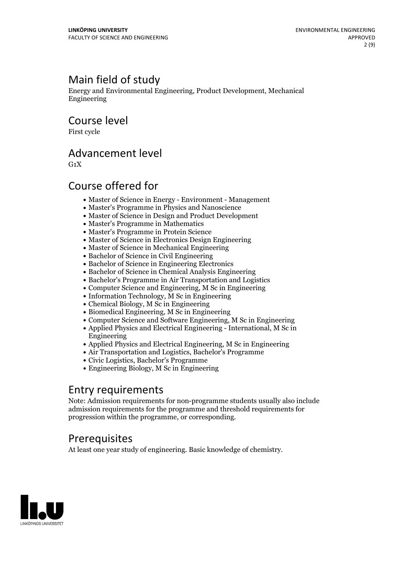# Main field of study

Energy and Environmental Engineering, Product Development, Mechanical Engineering

Course level

First cycle

## Advancement level

 $G_1X$ 

# Course offered for

- Master of Science in Energy Environment Management
- Master's Programme in Physics and Nanoscience
- Master of Science in Design and Product Development
- Master's Programme in Mathematics
- Master's Programme in Protein Science
- Master of Science in Electronics Design Engineering
- Master of Science in Mechanical Engineering
- Bachelor of Science in Civil Engineering
- Bachelor of Science in Engineering Electronics
- Bachelor of Science in Chemical Analysis Engineering
- Bachelor's Programme in Air Transportation and Logistics
- Computer Science and Engineering, M Sc in Engineering
- $\bullet$  Information Technology, M Sc in Engineering
- Chemical Biology, M Sc in Engineering
- Biomedical Engineering, M Sc in Engineering
- Computer Science and Software Engineering, M Sc in Engineering
- Applied Physics and Electrical Engineering International, M Sc in Engineering
- Applied Physics and Electrical Engineering, M Sc in Engineering
- Air Transportation and Logistics, Bachelor's Programme
- Civic Logistics, Bachelor's Programme
- Engineering Biology, M Sc in Engineering

## Entry requirements

Note: Admission requirements for non-programme students usually also include admission requirements for the programme and threshold requirements for progression within the programme, or corresponding.

# **Prerequisites**

At least one year study of engineering. Basic knowledge of chemistry.

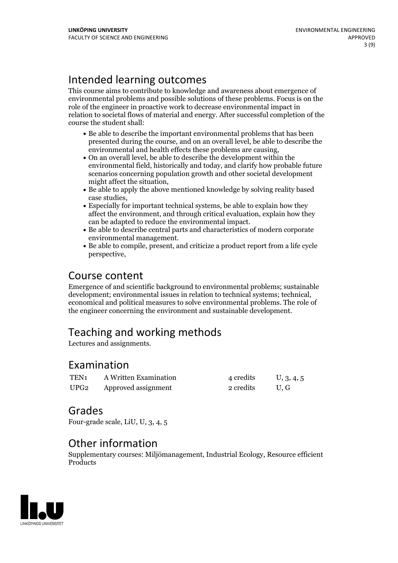# Intended learning outcomes

This course aims to contribute to knowledge and awareness about emergence of environmental problems and possible solutions of these problems. Focus is on the role of the engineer in proactive work to decrease environmental impact in relation to societal flows of material and energy. After successful completion of the course the student shall:

- Be able to describe the important environmental problems that has been presented during the course, and on an overall level, be able to describe the environmental and health effects these problems are causing,<br>• On an overall level, be able to describe the development within the
- environmental field, historically and today, and clarify how probable future scenarios concerning population growth and other societal development might affect the situation,<br>• Be able to apply the above mentioned knowledge by solving reality based
- case studies,<br>• Especially for important technical systems, be able to explain how they
- affect the environment, and through critical evaluation, explain how they
- can be adapted to reduce the environmental impact.<br>• Be able to describe central parts and characteristics of modern corporate environmental management.<br>• Be able to compile, present, and criticize a product report from a life cycle
- perspective,

# Course content

Emergence of and scientific background to environmental problems; sustainable development; environmental issues in relation to technical systems; technical, economical and political measures to solve environmental problems. The role of the engineer concerning the environment and sustainable development.

# Teaching and working methods

Lectures and assignments.

### Examination

| TEN <sub>1</sub> | A Written Examination    | 4 credits | U, 3, 4, 5 |
|------------------|--------------------------|-----------|------------|
|                  | UPG2 Approved assignment | 2 credits | U.G        |

### Grades

Four-grade scale, LiU, U, 3, 4, 5

### Other information

Supplementary courses: Miljömanagement, Industrial Ecology, Resource efficient **Products** 

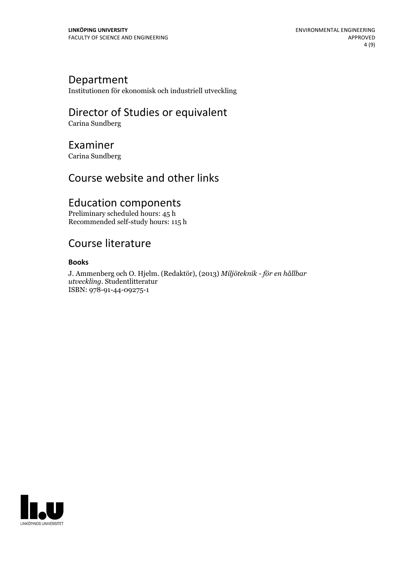### Department

Institutionen för ekonomisk och industriell utveckling

# Director of Studies or equivalent

Carina Sundberg

### Examiner

Carina Sundberg

# Course website and other links

# Education components

Preliminary scheduled hours: 45 h Recommended self-study hours: 115 h

# Course literature

#### **Books**

J. Ammenberg och O. Hjelm. (Redaktör), (2013) *Miljöteknik - för en hållbar utveckling.* Studentlitteratur ISBN: 978-91-44-09275-1

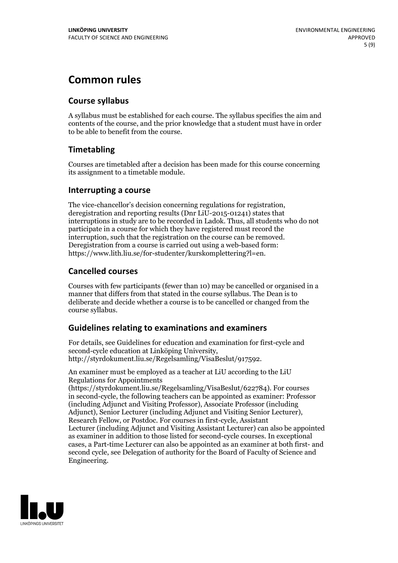# **Common rules**

### **Course syllabus**

A syllabus must be established for each course. The syllabus specifies the aim and contents of the course, and the prior knowledge that a student must have in order to be able to benefit from the course.

### **Timetabling**

Courses are timetabled after a decision has been made for this course concerning its assignment to a timetable module.

#### **Interrupting a course**

The vice-chancellor's decision concerning regulations for registration, deregistration and reporting results (Dnr LiU-2015-01241) states that interruptions in study are to be recorded in Ladok. Thus, all students who do not participate in a course for which they have registered must record the interruption, such that the registration on the course can be removed. Deregistration from <sup>a</sup> course is carried outusing <sup>a</sup> web-based form: https://www.lith.liu.se/for-studenter/kurskomplettering?l=en.

### **Cancelled courses**

Courses with few participants (fewer than 10) may be cancelled or organised in a manner that differs from that stated in the course syllabus. The Dean is to deliberate and decide whether a course is to be cancelled or changed from the course syllabus.

### **Guidelines relatingto examinations and examiners**

For details, see Guidelines for education and examination for first-cycle and second-cycle education at Linköping University, http://styrdokument.liu.se/Regelsamling/VisaBeslut/917592.

An examiner must be employed as a teacher at LiU according to the LiU Regulations for Appointments

(https://styrdokument.liu.se/Regelsamling/VisaBeslut/622784). For courses in second-cycle, the following teachers can be appointed as examiner: Professor (including Adjunct and Visiting Professor), Associate Professor (including Adjunct), Senior Lecturer (including Adjunct and Visiting Senior Lecturer), Research Fellow, or Postdoc. For courses in first-cycle, Assistant Lecturer (including Adjunct and Visiting Assistant Lecturer) can also be appointed as examiner in addition to those listed for second-cycle courses. In exceptional cases, a Part-time Lecturer can also be appointed as an examiner at both first- and second cycle, see Delegation of authority for the Board of Faculty of Science and Engineering.

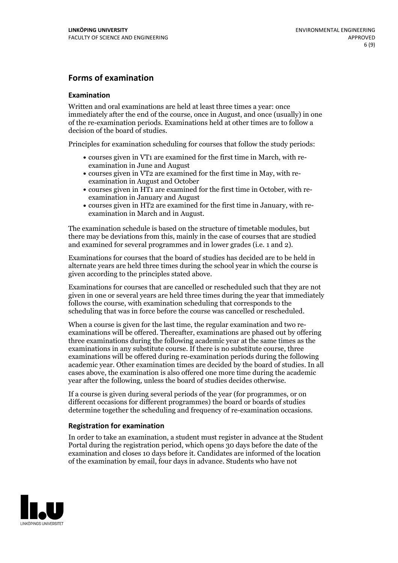#### **Forms of examination**

#### **Examination**

Written and oral examinations are held at least three times a year: once immediately after the end of the course, once in August, and once (usually) in one of the re-examination periods. Examinations held at other times are to follow a decision of the board of studies.

Principles for examination scheduling for courses that follow the study periods:

- courses given in VT1 are examined for the first time in March, with re-examination in June and August
- courses given in VT2 are examined for the first time in May, with re-examination in August and October
- courses given in HT1 are examined for the first time in October, with re-examination in January and August
- courses given in HT2 are examined for the first time in January, with re-examination in March and in August.

The examination schedule is based on the structure of timetable modules, but there may be deviations from this, mainly in the case of courses that are studied and examined for several programmes and in lower grades (i.e. 1 and 2).

Examinations for courses that the board of studies has decided are to be held in alternate years are held three times during the school year in which the course is given according to the principles stated above.

Examinations for courses that are cancelled orrescheduled such that they are not given in one or several years are held three times during the year that immediately follows the course, with examination scheduling that corresponds to the scheduling that was in force before the course was cancelled or rescheduled.

When a course is given for the last time, the regular examination and two re-<br>examinations will be offered. Thereafter, examinations are phased out by offering three examinations during the following academic year at the same times as the examinations in any substitute course. If there is no substitute course, three examinations will be offered during re-examination periods during the following academic year. Other examination times are decided by the board of studies. In all cases above, the examination is also offered one more time during the academic year after the following, unless the board of studies decides otherwise.

If a course is given during several periods of the year (for programmes, or on different occasions for different programmes) the board or boards of studies determine together the scheduling and frequency of re-examination occasions.

#### **Registration for examination**

In order to take an examination, a student must register in advance at the Student Portal during the registration period, which opens 30 days before the date of the examination and closes 10 days before it. Candidates are informed of the location of the examination by email, four days in advance. Students who have not

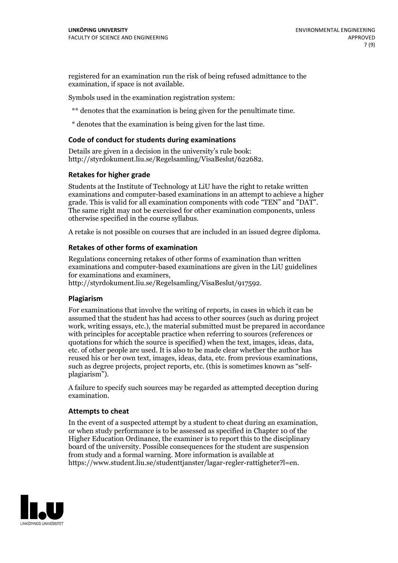registered for an examination run the risk of being refused admittance to the examination, if space is not available.

Symbols used in the examination registration system:

\*\* denotes that the examination is being given for the penultimate time.

\* denotes that the examination is being given for the last time.

#### **Code of conduct for students during examinations**

Details are given in a decision in the university's rule book: http://styrdokument.liu.se/Regelsamling/VisaBeslut/622682.

#### **Retakes for higher grade**

Students at the Institute of Technology at LiU have the right to retake written examinations and computer-based examinations in an attempt to achieve a higher grade. This is valid for all examination components with code "TEN" and "DAT". The same right may not be exercised for other examination components, unless otherwise specified in the course syllabus.

A retake is not possible on courses that are included in an issued degree diploma.

#### **Retakes of other forms of examination**

Regulations concerning retakes of other forms of examination than written examinations and computer-based examinations are given in the LiU guidelines

http://styrdokument.liu.se/Regelsamling/VisaBeslut/917592.

#### **Plagiarism**

For examinations that involve the writing of reports, in cases in which it can be assumed that the student has had access to other sources (such as during project work, writing essays, etc.), the material submitted must be prepared in accordance with principles for acceptable practice when referring to sources (references or quotations for which the source is specified) when the text, images, ideas, data,  $\vec{e}$  etc. of other people are used. It is also to be made clear whether the author has reused his or her own text, images, ideas, data, etc. from previous examinations, such as degree projects, project reports, etc. (this is sometimes known as "self- plagiarism").

A failure to specify such sources may be regarded as attempted deception during examination.

#### **Attempts to cheat**

In the event of <sup>a</sup> suspected attempt by <sup>a</sup> student to cheat during an examination, or when study performance is to be assessed as specified in Chapter <sup>10</sup> of the Higher Education Ordinance, the examiner is to report this to the disciplinary board of the university. Possible consequences for the student are suspension from study and a formal warning. More information is available at https://www.student.liu.se/studenttjanster/lagar-regler-rattigheter?l=en.

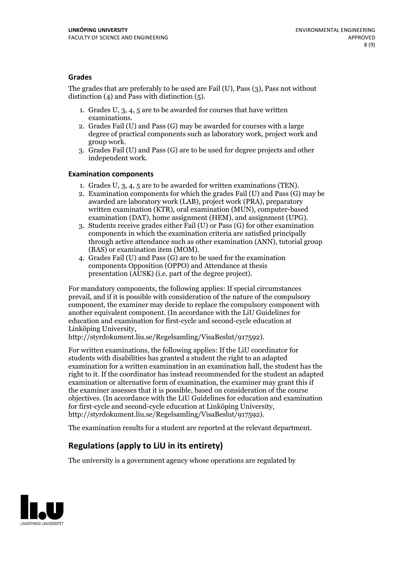#### **Grades**

The grades that are preferably to be used are Fail (U), Pass (3), Pass not without distinction  $(4)$  and Pass with distinction  $(5)$ .

- 1. Grades U, 3, 4, 5 are to be awarded for courses that have written
- examinations. 2. Grades Fail (U) and Pass (G) may be awarded for courses with <sup>a</sup> large degree of practical components such as laboratory work, project work and group work. 3. Grades Fail (U) and Pass (G) are to be used for degree projects and other
- independent work.

#### **Examination components**

- 
- 1. Grades U, 3, 4, <sup>5</sup> are to be awarded for written examinations (TEN). 2. Examination components for which the grades Fail (U) and Pass (G) may be awarded are laboratory work (LAB), project work (PRA), preparatory written examination (KTR), oral examination (MUN), computer-based
- examination (DAT), home assignment (HEM), and assignment (UPG). 3. Students receive grades either Fail (U) or Pass (G) for other examination components in which the examination criteria are satisfied principally through active attendance such as other examination (ANN), tutorial group (BAS) or examination item (MOM). 4. Grades Fail (U) and Pass (G) are to be used for the examination
- components Opposition (OPPO) and Attendance at thesis presentation (AUSK) (i.e. part of the degree project).

For mandatory components, the following applies: If special circumstances prevail, and if it is possible with consideration of the nature of the compulsory component, the examiner may decide to replace the compulsory component with another equivalent component. (In accordance with the LiU Guidelines for education and examination for first-cycle and second-cycle education at Linköping University, http://styrdokument.liu.se/Regelsamling/VisaBeslut/917592).

For written examinations, the following applies: If the LiU coordinator for students with disabilities has granted a student the right to an adapted examination for a written examination in an examination hall, the student has the right to it. If the coordinator has instead recommended for the student an adapted examination or alternative form of examination, the examiner may grant this if the examiner assesses that it is possible, based on consideration of the course objectives. (In accordance with the LiU Guidelines for education and examination for first-cycle and second-cycle education at Linköping University, http://styrdokument.liu.se/Regelsamling/VisaBeslut/917592).

The examination results for a student are reported at the relevant department.

### **Regulations (applyto LiU in its entirety)**

The university is a government agency whose operations are regulated by